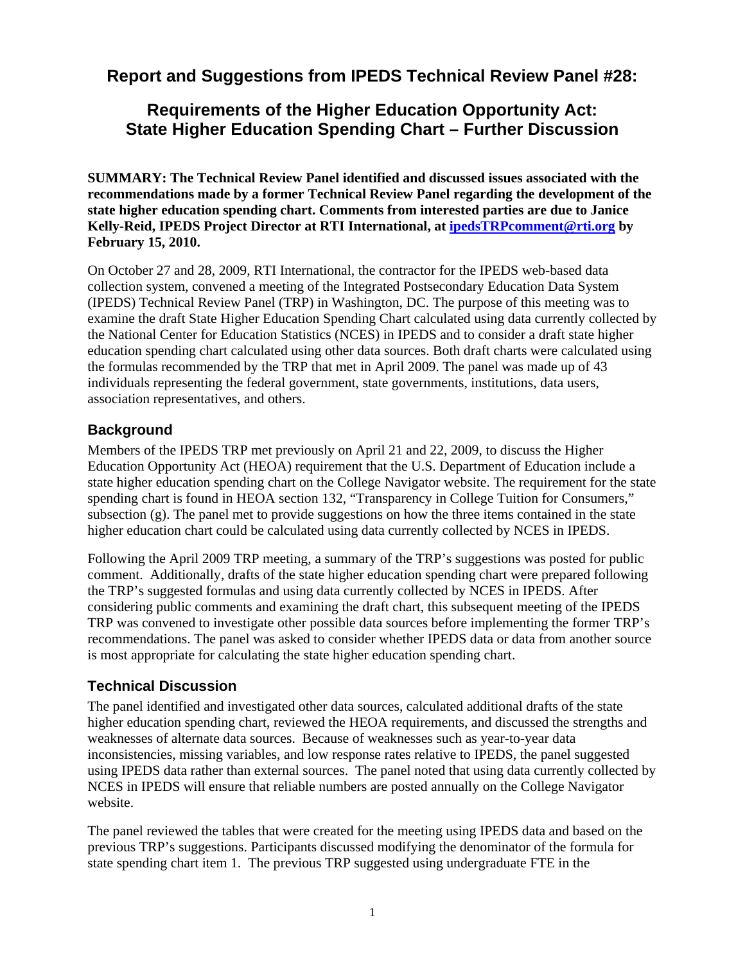# **Report and Suggestions from IPEDS Technical Review Panel #28:**

# **Requirements of the Higher Education Opportunity Act: State Higher Education Spending Chart – Further Discussion**

**SUMMARY: The Technical Review Panel identified and discussed issues associated with the recommendations made by a former Technical Review Panel regarding the development of the state higher education spending chart. Comments from interested parties are due to Janice Kelly-Reid, IPEDS Project Director at RTI International, at ipedsTRPcomment@rti.org by February 15, 2010.** 

On October 27 and 28, 2009, RTI International, the contractor for the IPEDS web-based data collection system, convened a meeting of the Integrated Postsecondary Education Data System (IPEDS) Technical Review Panel (TRP) in Washington, DC. The purpose of this meeting was to examine the draft State Higher Education Spending Chart calculated using data currently collected by the National Center for Education Statistics (NCES) in IPEDS and to consider a draft state higher education spending chart calculated using other data sources. Both draft charts were calculated using the formulas recommended by the TRP that met in April 2009. The panel was made up of 43 individuals representing the federal government, state governments, institutions, data users, association representatives, and others.

## **Background**

Members of the IPEDS TRP met previously on April 21 and 22, 2009, to discuss the Higher Education Opportunity Act (HEOA) requirement that the U.S. Department of Education include a state higher education spending chart on the College Navigator website. The requirement for the state spending chart is found in HEOA section 132, "Transparency in College Tuition for Consumers," subsection (g). The panel met to provide suggestions on how the three items contained in the state higher education chart could be calculated using data currently collected by NCES in IPEDS.

Following the April 2009 TRP meeting, a summary of the TRP's suggestions was posted for public comment. Additionally, drafts of the state higher education spending chart were prepared following the TRP's suggested formulas and using data currently collected by NCES in IPEDS. After considering public comments and examining the draft chart, this subsequent meeting of the IPEDS TRP was convened to investigate other possible data sources before implementing the former TRP's recommendations. The panel was asked to consider whether IPEDS data or data from another source is most appropriate for calculating the state higher education spending chart.

#### **Technical Discussion**

The panel identified and investigated other data sources, calculated additional drafts of the state higher education spending chart, reviewed the HEOA requirements, and discussed the strengths and weaknesses of alternate data sources. Because of weaknesses such as year-to-year data inconsistencies, missing variables, and low response rates relative to IPEDS, the panel suggested using IPEDS data rather than external sources. The panel noted that using data currently collected by NCES in IPEDS will ensure that reliable numbers are posted annually on the College Navigator website.

The panel reviewed the tables that were created for the meeting using IPEDS data and based on the previous TRP's suggestions. Participants discussed modifying the denominator of the formula for state spending chart item 1. The previous TRP suggested using undergraduate FTE in the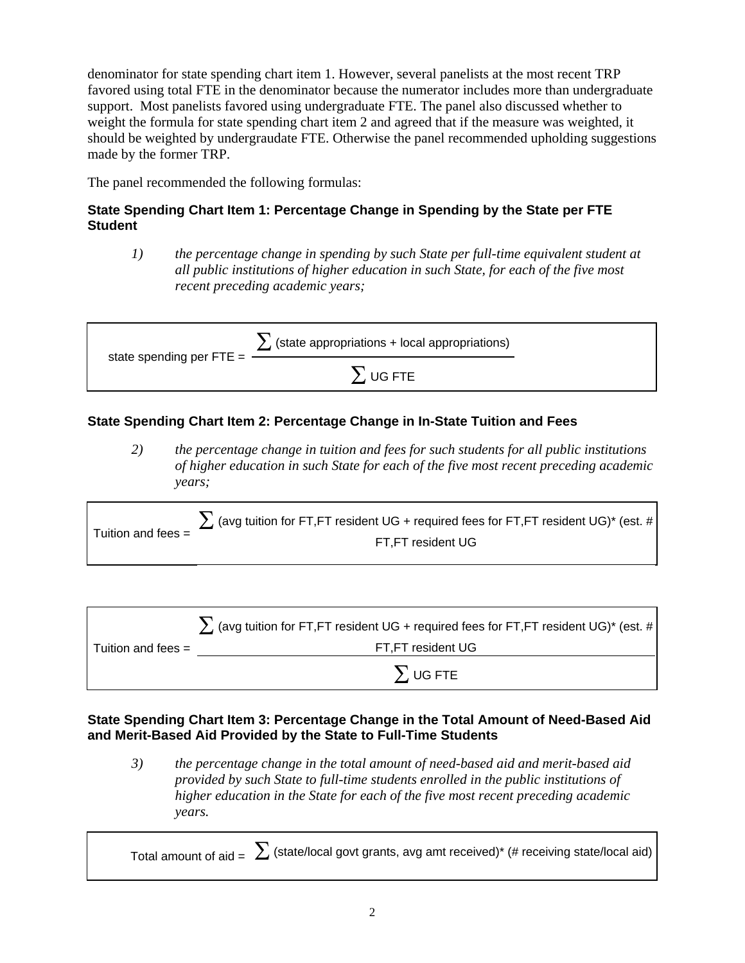denominator for state spending chart item 1. However, several panelists at the most recent TRP favored using total FTE in the denominator because the numerator includes more than undergraduate support. Most panelists favored using undergraduate FTE. The panel also discussed whether to weight the formula for state spending chart item 2 and agreed that if the measure was weighted, it should be weighted by undergraudate FTE. Otherwise the panel recommended upholding suggestions made by the former TRP.

The panel recommended the following formulas:

#### **State Spending Chart Item 1: Percentage Change in Spending by the State per FTE Student**

*1) the percentage change in spending by such State per full-time equivalent student at all public institutions of higher education in such State, for each of the five most recent preceding academic years;* 

| state spending per $FTE =$ | $\sum$ (state appropriations + local appropriations) |  |
|----------------------------|------------------------------------------------------|--|
|                            | $\sum$ UG FTE                                        |  |

## **State Spending Chart Item 2: Percentage Change in In-State Tuition and Fees**

*2) the percentage change in tuition and fees for such students for all public institutions of higher education in such State for each of the five most recent preceding academic years;* 

Tuition and fees =  $\sum$  (avg tuition for FT,FT resident UG + required fees for FT,FT resident UG)\* (est. # FT,FT resident UG

|                      | $\sum$ (avg tuition for FT,FT resident UG + required fees for FT,FT resident UG)* (est. # |
|----------------------|-------------------------------------------------------------------------------------------|
| Tuition and fees $=$ | FT,FT resident UG                                                                         |
|                      | $\sum$ UG FTE                                                                             |

#### **State Spending Chart Item 3: Percentage Change in the Total Amount of Need-Based Aid and Merit-Based Aid Provided by the State to Full-Time Students**

*3) the percentage change in the total amount of need-based aid and merit-based aid provided by such State to full-time students enrolled in the public institutions of higher education in the State for each of the five most recent preceding academic years.*

Total amount of aid =  $\sum$  (state/local govt grants, avg amt received)\* (# receiving state/local aid)